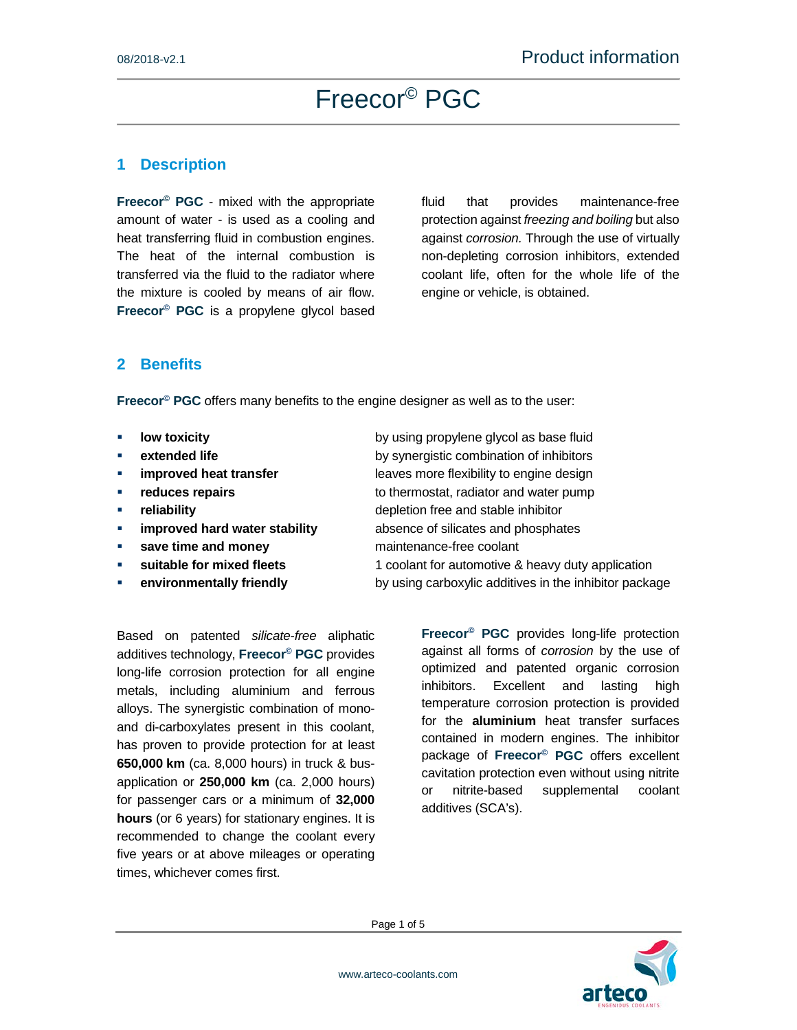#### **1 Description**

**Freecor© PGC** - mixed with the appropriate amount of water - is used as a cooling and heat transferring fluid in combustion engines. The heat of the internal combustion is transferred via the fluid to the radiator where the mixture is cooled by means of air flow. **Freecor© PGC** is a propylene glycol based fluid that provides maintenance-free protection against *freezing and boiling* but also against *corrosion.* Through the use of virtually non-depleting corrosion inhibitors, extended coolant life, often for the whole life of the engine or vehicle, is obtained.

#### **2 Benefits**

**Freecor© PGC** offers many benefits to the engine designer as well as to the user:

- 
- 
- 
- 
- 
- **improved hard water stability** absence of silicates and phosphates
- **save time and money naintenance-free coolant**
- 
- 

Based on patented *silicate-free* aliphatic additives technology, **Freecor© PGC** provides long-life corrosion protection for all engine metals, including aluminium and ferrous alloys. The synergistic combination of monoand di-carboxylates present in this coolant, has proven to provide protection for at least **650,000 km** (ca. 8,000 hours) in truck & busapplication or **250,000 km** (ca. 2,000 hours) for passenger cars or a minimum of **32,000 hours** (or 6 years) for stationary engines. It is recommended to change the coolant every five years or at above mileages or operating times, whichever comes first.

**a low toxicity by using propylene glycol as base fluid extended life** by synergistic combination of inhibitors **improved heat transfer improved heat transfer leaves more flexibility to engine design reduces repairs to thermostat, radiator and water pump reliability** depletion free and stable inhibitor

**suitable for mixed fleets** 1 coolant for automotive & heavy duty application **environmentally friendly** by using carboxylic additives in the inhibitor package

> **Freecor© PGC** provides long-life protection against all forms of *corrosion* by the use of optimized and patented organic corrosion inhibitors. Excellent and lasting high temperature corrosion protection is provided for the **aluminium** heat transfer surfaces contained in modern engines. The inhibitor package of **Freecor© PGC** offers excellent cavitation protection even without using nitrite or nitrite-based supplemental coolant additives (SCA's).



Page 1 of 5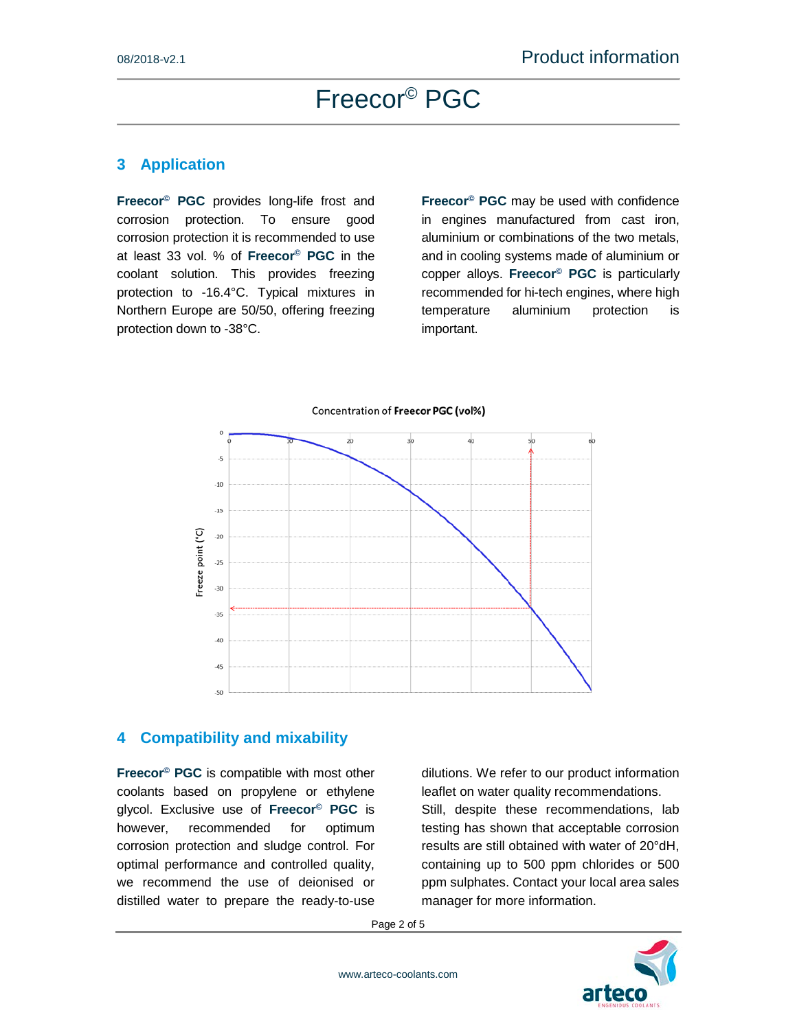#### **3 Application**

**Freecor© PGC** provides long-life frost and corrosion protection. To ensure good corrosion protection it is recommended to use at least 33 vol. % of **Freecor© PGC** in the coolant solution. This provides freezing protection to -16.4°C. Typical mixtures in Northern Europe are 50/50, offering freezing protection down to -38°C.

**Freecor© PGC** may be used with confidence in engines manufactured from cast iron, aluminium or combinations of the two metals, and in cooling systems made of aluminium or copper alloys. **Freecor© PGC** is particularly recommended for hi-tech engines, where high temperature aluminium protection is important.



#### Concentration of Freecor PGC (vol%)

#### **4 Compatibility and mixability**

**Freecor© PGC** is compatible with most other coolants based on propylene or ethylene glycol. Exclusive use of **Freecor© PGC** is however, recommended for optimum corrosion protection and sludge control. For optimal performance and controlled quality, we recommend the use of deionised or distilled water to prepare the ready-to-use

dilutions. We refer to our product information leaflet on water quality recommendations. Still, despite these recommendations, lab testing has shown that acceptable corrosion results are still obtained with water of 20°dH, containing up to 500 ppm chlorides or 500 ppm sulphates. Contact your local area sales manager for more information.

Page 2 of 5

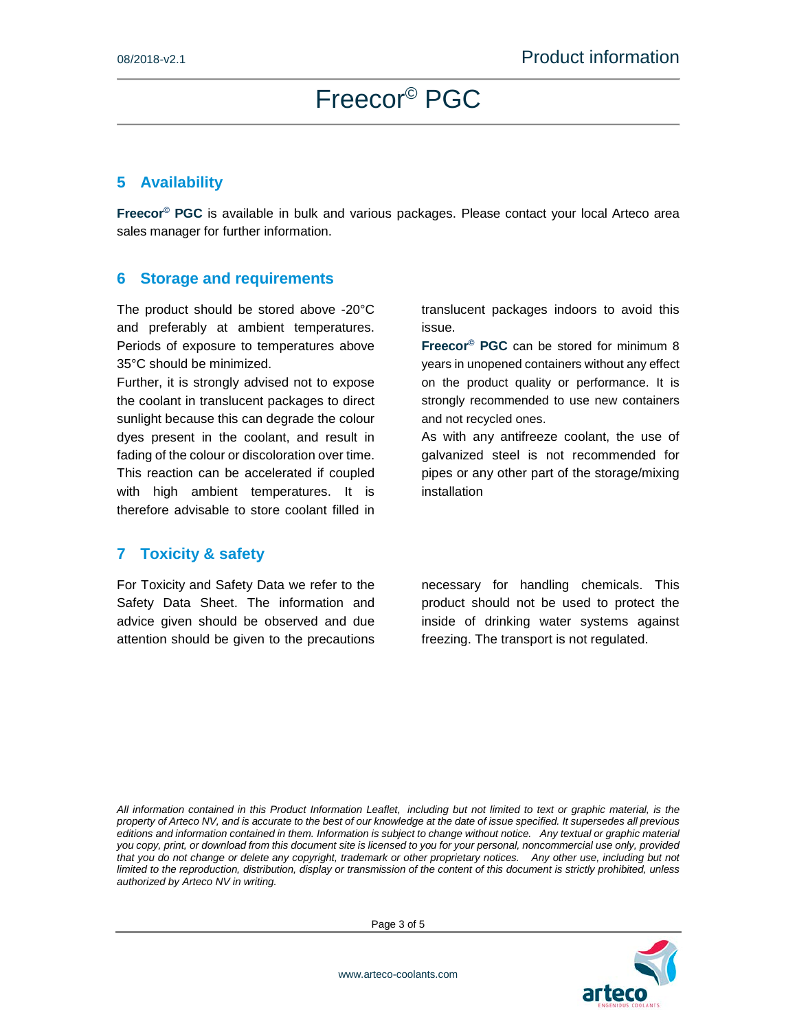#### **5 Availability**

**Freecor© PGC** is available in bulk and various packages. Please contact your local Arteco area sales manager for further information.

#### **6 Storage and requirements**

The product should be stored above -20°C and preferably at ambient temperatures. Periods of exposure to temperatures above 35°C should be minimized.

Further, it is strongly advised not to expose the coolant in translucent packages to direct sunlight because this can degrade the colour dyes present in the coolant, and result in fading of the colour or discoloration over time. This reaction can be accelerated if coupled with high ambient temperatures. It is therefore advisable to store coolant filled in

#### **7 Toxicity & safety**

For Toxicity and Safety Data we refer to the Safety Data Sheet. The information and advice given should be observed and due attention should be given to the precautions

translucent packages indoors to avoid this issue.

**Freecor© PGC** can be stored for minimum 8 years in unopened containers without any effect on the product quality or performance. It is strongly recommended to use new containers and not recycled ones.

As with any antifreeze coolant, the use of galvanized steel is not recommended for pipes or any other part of the storage/mixing installation

necessary for handling chemicals. This product should not be used to protect the inside of drinking water systems against freezing. The transport is not regulated.

*All information contained in this Product Information Leaflet, including but not limited to text or graphic material, is the property of Arteco NV, and is accurate to the best of our knowledge at the date of issue specified. It supersedes all previous editions and information contained in them. Information is subject to change without notice. Any textual or graphic material you copy, print, or download from this document site is licensed to you for your personal, noncommercial use only, provided*  that you do not change or delete any copyright, trademark or other proprietary notices. Any other use, including but not *limited to the reproduction, distribution, display or transmission of the content of this document is strictly prohibited, unless authorized by Arteco NV in writing.* 



Page 3 of 5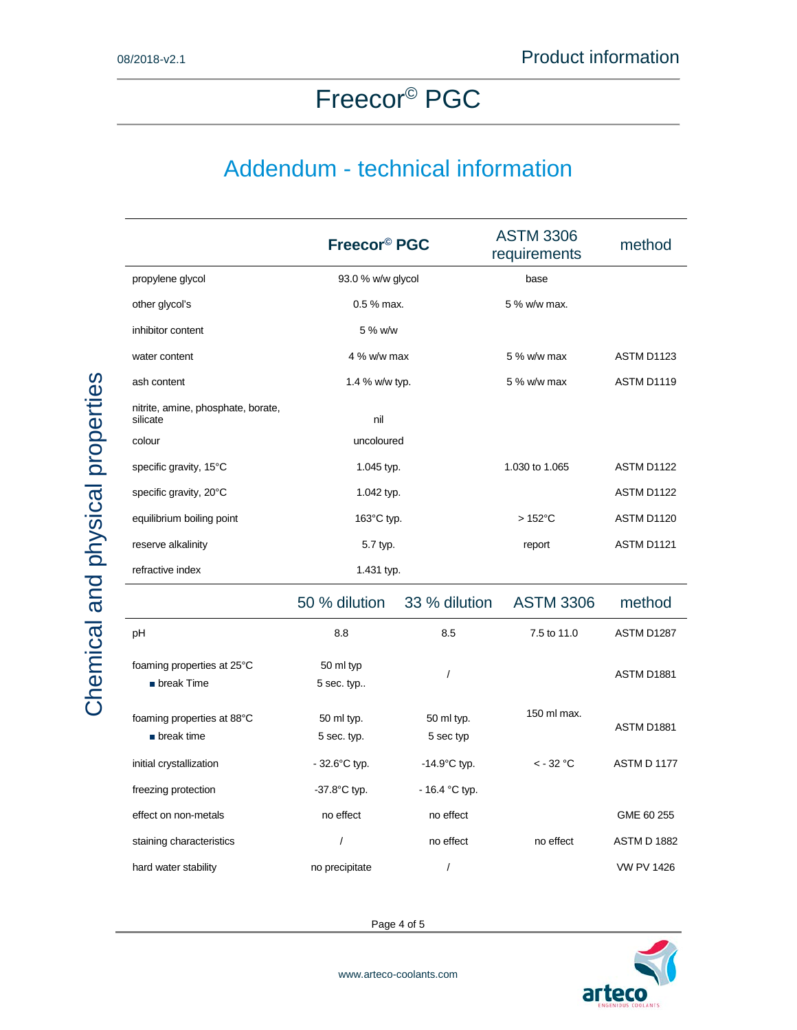### Addendum - technical information

|                                                         | Freecor <sup>®</sup> PGC  |                         | <b>ASTM 3306</b><br>requirements | method             |
|---------------------------------------------------------|---------------------------|-------------------------|----------------------------------|--------------------|
| propylene glycol                                        | 93.0 % w/w glycol         |                         | base                             |                    |
| other glycol's                                          | 0.5 % max.                |                         | 5 % w/w max.                     |                    |
| inhibitor content                                       | 5 % w/w                   |                         |                                  |                    |
| water content                                           | 4 % w/w max               |                         | 5 % w/w max                      | ASTM D1123         |
| ash content                                             | 1.4 % w/w typ.            |                         | 5 % w/w max                      | ASTM D1119         |
| nitrite, amine, phosphate, borate,<br>silicate          | nil                       |                         |                                  |                    |
| colour                                                  | uncoloured                |                         |                                  |                    |
| specific gravity, 15°C                                  | 1.045 typ.                |                         | 1.030 to 1.065                   | ASTM D1122         |
| specific gravity, 20°C                                  | 1.042 typ.                |                         |                                  | ASTM D1122         |
| equilibrium boiling point                               | 163°C typ.                |                         | $>152^{\circ}$ C                 | ASTM D1120         |
| reserve alkalinity                                      | 5.7 typ.                  |                         | report                           | ASTM D1121         |
| refractive index                                        | 1.431 typ.                |                         |                                  |                    |
|                                                         | 50 % dilution             | 33 % dilution           | <b>ASTM 3306</b>                 | method             |
| pH                                                      | 8.8                       | 8.5                     | 7.5 to 11.0                      | ASTM D1287         |
| foaming properties at 25°C<br>$\blacksquare$ break Time | 50 ml typ<br>5 sec. typ   | $\overline{I}$          |                                  | <b>ASTM D1881</b>  |
| foaming properties at 88°C<br>$\blacksquare$ break time | 50 ml typ.<br>5 sec. typ. | 50 ml typ.<br>5 sec typ | 150 ml max.                      | ASTM D1881         |
| initial crystallization                                 | $-32.6^{\circ}$ C typ.    | $-14.9^{\circ}$ C typ.  | $< -32$ °C                       | <b>ASTM D 1177</b> |
| freezing protection                                     | $-37.8$ °C typ.           | $-16.4 °C$ typ.         |                                  |                    |
| effect on non-metals                                    | no effect                 | no effect               |                                  | GME 60 255         |
| staining characteristics                                | $\prime$                  | no effect               | no effect                        | <b>ASTM D 1882</b> |
| hard water stability                                    | no precipitate            | /                       |                                  | <b>VW PV 1426</b>  |

Page 4 of 5